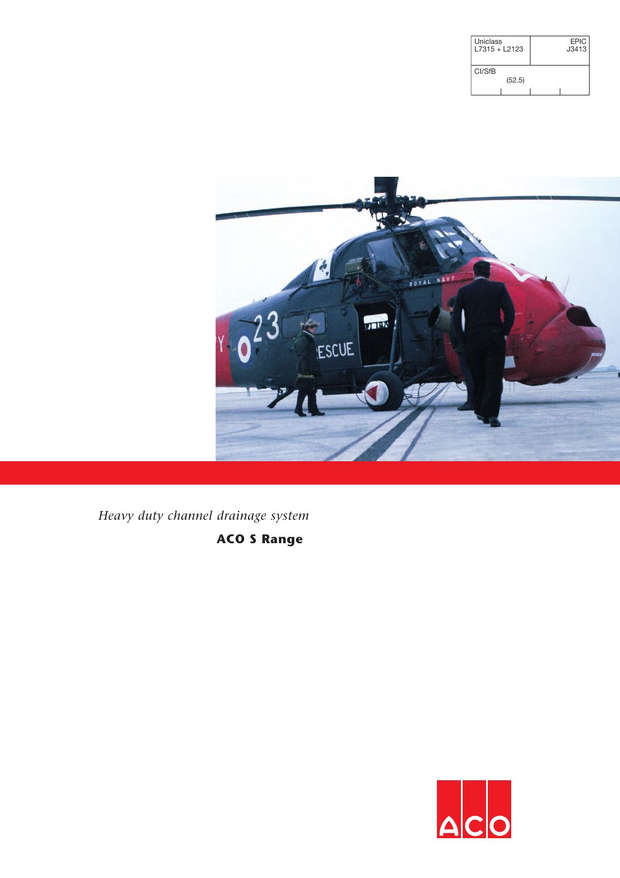| Uniclass<br>$17315 + 12123$ | <b>EPIC</b><br>J3413 |
|-----------------------------|----------------------|
| CI/SfB                      |                      |
| (52.5)                      |                      |
|                             |                      |



*Heavy duty channel drainage system*

**ACO S Range**

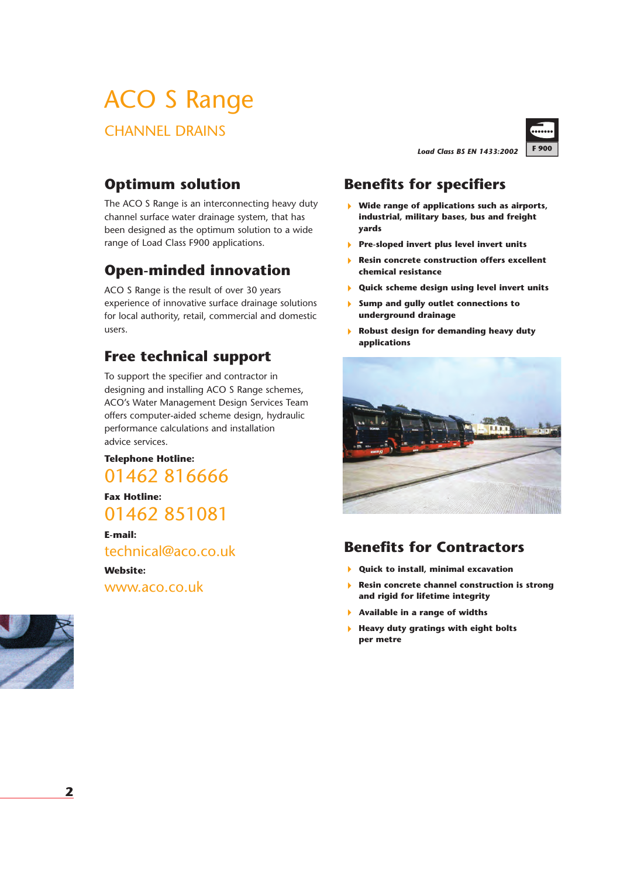# ACO S Range

CHANNEL DRAINS

*Load Class BS EN 1433:2002*



### **Optimum solution**

The ACO S Range is an interconnecting heavy duty channel surface water drainage system, that has been designed as the optimum solution to a wide range of Load Class F900 applications.

## **Open-minded innovation**

ACO S Range is the result of over 30 years experience of innovative surface drainage solutions for local authority, retail, commercial and domestic users.

### **Free technical support**

To support the specifier and contractor in designing and installing ACO S Range schemes, ACO's Water Management Design Services Team offers computer-aided scheme design, hydraulic performance calculations and installation advice services.

#### **Telephone Hotline:**

01462 816666

**Fax Hotline:** 01462 851081

**E-mail:** technical@aco.co.uk

**Website:** www.aco.co.uk



### **Benefits for specifiers**

- ! **Wide range of applications such as airports, industrial, military bases, bus and freight yards**
- ! **Pre-sloped invert plus level invert units**
- ! **Resin concrete construction offers excellent chemical resistance**
- ! **Quick scheme design using level invert units**
- ! **Sump and gully outlet connections to underground drainage**
- ! **Robust design for demanding heavy duty applications**



### **Benefits for Contractors**

- ! **Quick to install, minimal excavation**
- ! **Resin concrete channel construction is strong and rigid for lifetime integrity**
- ! **Available in a range of widths**
- ! **Heavy duty gratings with eight bolts per metre**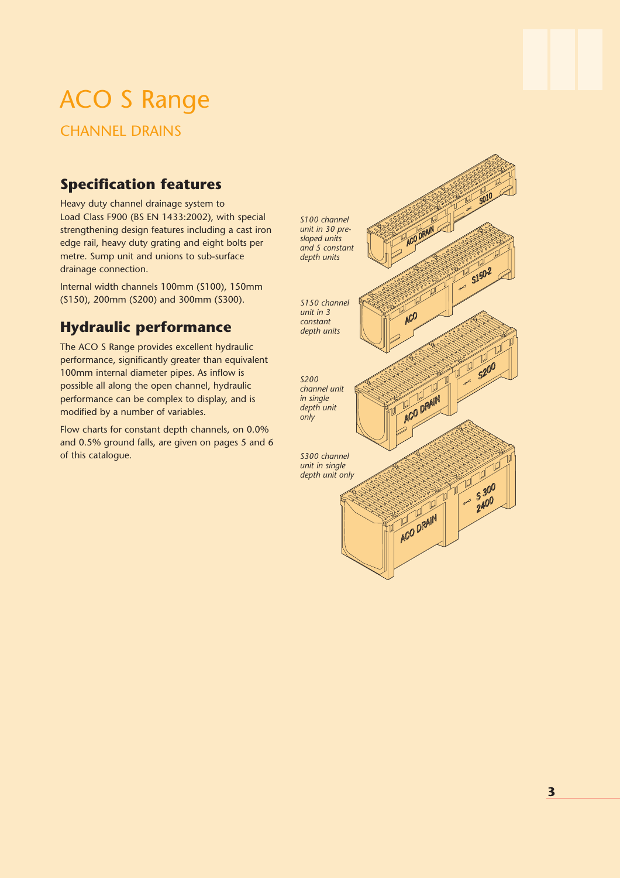# ACO S Range

CHANNEL DRAINS

### **Specification features**

Heavy duty channel drainage system to Load Class F900 (BS EN 1433:2002), with special strengthening design features including a cast iron edge rail, heavy duty grating and eight bolts per metre. Sump unit and unions to sub-surface drainage connection.

Internal width channels 100mm (S100), 150mm (S150), 200mm (S200) and 300mm (S300).

## **Hydraulic performance**

The ACO S Range provides excellent hydraulic performance, significantly greater than equivalent 100mm internal diameter pipes. As inflow is possible all along the open channel, hydraulic performance can be complex to display, and is modified by a number of variables.

Flow charts for constant depth channels, on 0.0% and 0.5% ground falls, are given on pages 5 and 6 of this catalogue.

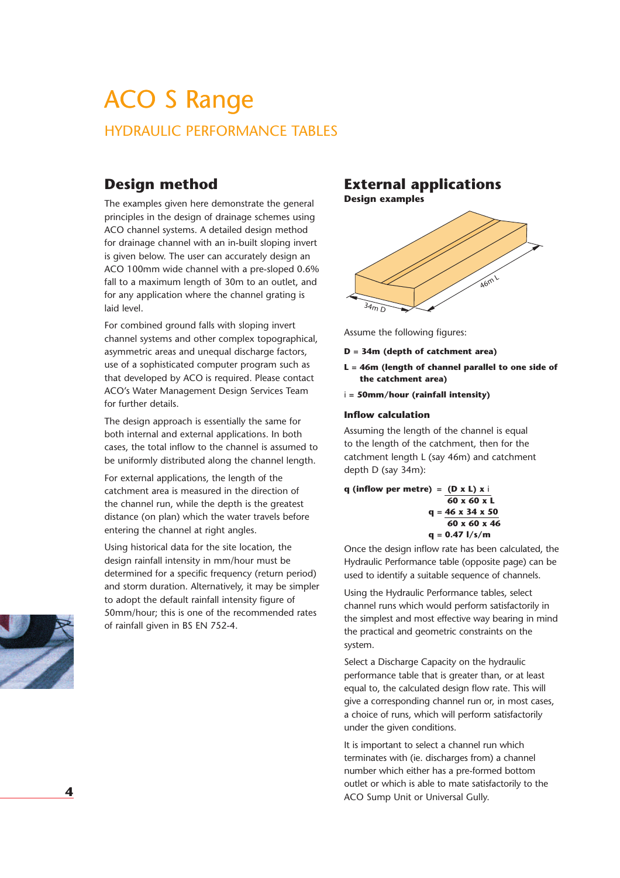## ACO S Range HYDRAULIC PERFORMANCE TABLES

### **Design method**

The examples given here demonstrate the general principles in the design of drainage schemes using ACO channel systems. A detailed design method for drainage channel with an in-built sloping invert is given below. The user can accurately design an ACO 100mm wide channel with a pre-sloped 0.6% fall to a maximum length of 30m to an outlet, and for any application where the channel grating is laid level.

For combined ground falls with sloping invert channel systems and other complex topographical, asymmetric areas and unequal discharge factors, use of a sophisticated computer program such as that developed by ACO is required. Please contact ACO's Water Management Design Services Team for further details.

The design approach is essentially the same for both internal and external applications. In both cases, the total inflow to the channel is assumed to be uniformly distributed along the channel length.

For external applications, the length of the catchment area is measured in the direction of the channel run, while the depth is the greatest distance (on plan) which the water travels before entering the channel at right angles.

Using historical data for the site location, the design rainfall intensity in mm/hour must be determined for a specific frequency (return period) and storm duration. Alternatively, it may be simpler to adopt the default rainfall intensity figure of 50mm/hour; this is one of the recommended rates of rainfall given in BS EN 752-4.

### **External applications**

**Design examples**



Assume the following figures:

- **D = 34m (depth of catchment area)**
- **L = 46m (length of channel parallel to one side of the catchment area)**
- i **= 50mm/hour (rainfall intensity)**

#### **Inflow calculation**

Assuming the length of the channel is equal to the length of the catchment, then for the catchment length L (say 46m) and catchment depth D (say 34m):

**q (inflow per metre) = (D x L) x** i **60 x 60 x L q = 46 x 34 x 50 60 x 60 x 46 q = 0.47 l/s/m**

Once the design inflow rate has been calculated, the Hydraulic Performance table (opposite page) can be used to identify a suitable sequence of channels.

Using the Hydraulic Performance tables, select channel runs which would perform satisfactorily in the simplest and most effective way bearing in mind the practical and geometric constraints on the system.

Select a Discharge Capacity on the hydraulic performance table that is greater than, or at least equal to, the calculated design flow rate. This will give a corresponding channel run or, in most cases, a choice of runs, which will perform satisfactorily under the given conditions.

It is important to select a channel run which terminates with (ie. discharges from) a channel number which either has a pre-formed bottom outlet or which is able to mate satisfactorily to the ACO Sump Unit or Universal Gully.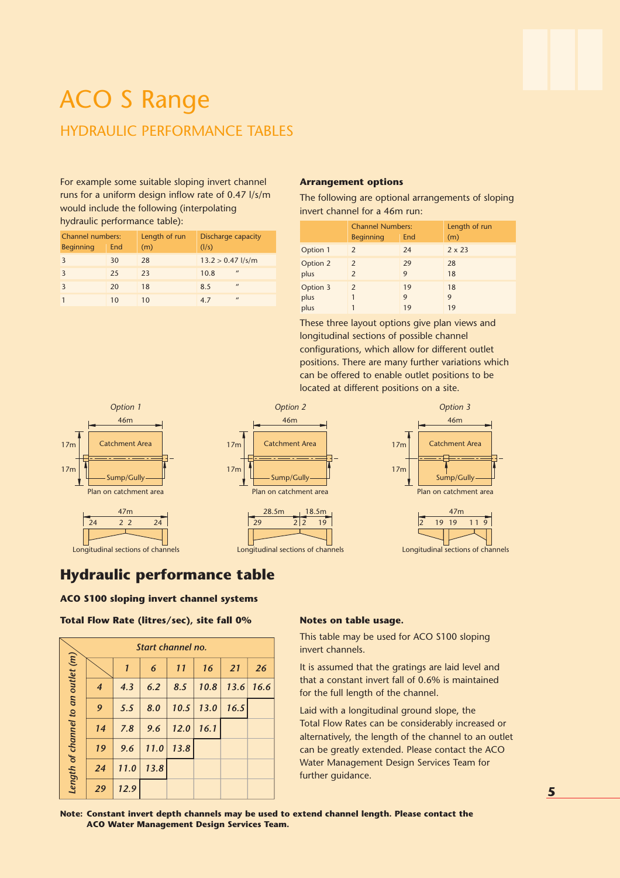## ACO S Range HYDRAULIC PERFORMANCE TABLES

For example some suitable sloping invert channel runs for a uniform design inflow rate of 0.47 l/s/m would include the following (interpolating hydraulic performance table):

| <b>Channel numbers:</b><br><b>Beginning</b> | End | Length of run<br>(m) | Discharge capacity<br>(1/s) |
|---------------------------------------------|-----|----------------------|-----------------------------|
|                                             | 30  | 28                   | $13.2 > 0.47$ l/s/m         |
| ς                                           | 25  | 23                   | $^{\prime\prime}$<br>10.8   |
|                                             | 20  | 18                   | $^{\prime\prime}$<br>8.5    |
|                                             | 10  | 10                   | $\prime$<br>4.7             |

#### **Arrangement options**

The following are optional arrangements of sloping invert channel for a 46m run:

|          | <b>Channel Numbers:</b><br><b>Beginning</b> | Length of run<br>(m) |               |
|----------|---------------------------------------------|----------------------|---------------|
| Option 1 | $\mathcal{P}$                               | 24                   | $2 \times 23$ |
| Option 2 | $\mathcal{P}$                               | 29                   | 28            |
| plus     | $\mathcal{P}$                               | 9                    | 18            |
| Option 3 | $\mathcal{P}$                               | 19                   | 18            |
| plus     |                                             | 9                    | 9             |
| plus     |                                             | 19                   | 19            |

These three layout options give plan views and longitudinal sections of possible channel configurations, which allow for different outlet positions. There are many further variations which can be offered to enable outlet positions to be located at different positions on a site.



### **Hydraulic performance table**

#### **ACO S100 sloping invert channel systems**

**Total Flow Rate (litres/sec), site fall 0% Notes on table usage.**

|                                    |                |              | Start channel no. |      |      |      |      |
|------------------------------------|----------------|--------------|-------------------|------|------|------|------|
|                                    |                | $\mathbf{1}$ | 6                 | 11   | 16   | 21   | 26   |
|                                    | $\overline{4}$ | 4.3          | 6.2               | 8.5  | 10.8 | 13.6 | 16.6 |
|                                    | 9              | 5.5          | 8.0               | 10.5 | 13.0 | 16.5 |      |
|                                    | 14             | 7.8          | 9.6               | 12.0 | 16.1 |      |      |
|                                    | 19             | 9.6          | 11.0              | 13.8 |      |      |      |
| Length of channel to an outlet (m) | 24             | 11.0         | 13.8              |      |      |      |      |
|                                    | 29             | 12.9         |                   |      |      |      |      |

This table may be used for ACO S100 sloping invert channels.

It is assumed that the gratings are laid level and that a constant invert fall of 0.6% is maintained for the full length of the channel.

Laid with a longitudinal ground slope, the Total Flow Rates can be considerably increased or alternatively, the length of the channel to an outlet can be greatly extended. Please contact the ACO Water Management Design Services Team for further guidance.

**Note: Constant invert depth channels may be used to extend channel length. Please contact the ACO Water Management Design Services Team.**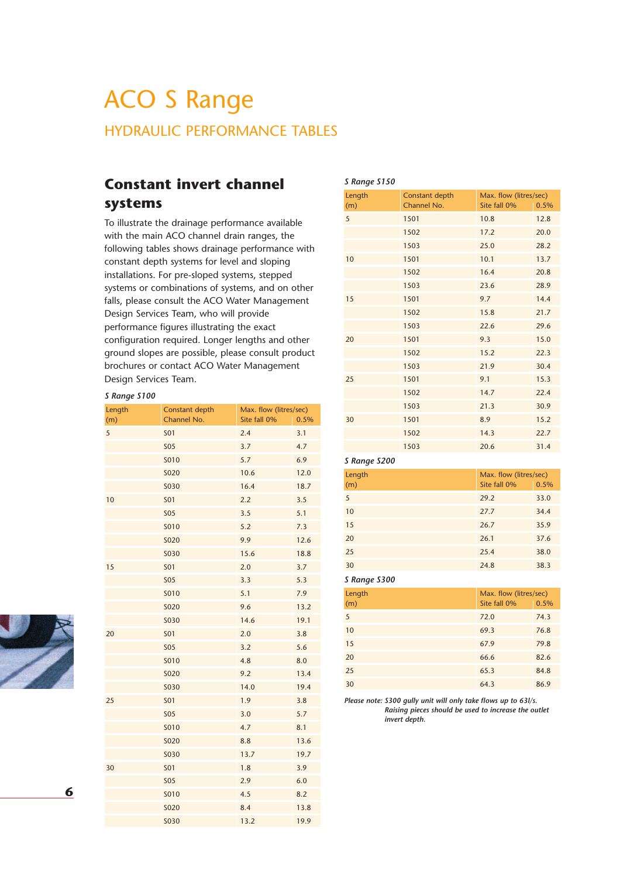## ACO S Range HYDRAULIC PERFORMANCE TABLES

### **Constant invert channel systems**

To illustrate the drainage performance available with the main ACO channel drain ranges, the following tables shows drainage performance with constant depth systems for level and sloping installations. For pre-sloped systems, stepped systems or combinations of systems, and on other falls, please consult the ACO Water Management Design Services Team, who will provide performance figures illustrating the exact configuration required. Longer lengths and other ground slopes are possible, please consult product brochures or contact ACO Water Management Design Services Team.

#### *S Range S100*

| Length | Constant depth | Max. flow (litres/sec) |      |
|--------|----------------|------------------------|------|
| (m)    | Channel No.    | Site fall 0%           | 0.5% |
| 5      | <b>SO1</b>     | 2.4                    | 3.1  |
|        | <b>SO5</b>     | 3.7                    | 4.7  |
|        | <b>SO10</b>    | 5.7                    | 6.9  |
|        | <b>SO20</b>    | 10.6                   | 12.0 |
|        | <b>SO30</b>    | 16.4                   | 18.7 |
| 10     | <b>SO1</b>     | 2.2                    | 3.5  |
|        | <b>SO5</b>     | 3.5                    | 5.1  |
|        | <b>SO10</b>    | 5.2                    | 7.3  |
|        | <b>SO20</b>    | 9.9                    | 12.6 |
|        | <b>SO30</b>    | 15.6                   | 18.8 |
| 15     | <b>SO1</b>     | 2.0                    | 3.7  |
|        | <b>SO5</b>     | 3.3                    | 5.3  |
|        | <b>SO10</b>    | 5.1                    | 7.9  |
|        | <b>SO20</b>    | 9.6                    | 13.2 |
|        | <b>SO30</b>    | 14.6                   | 19.1 |
| 20     | <b>SO1</b>     | 2.0                    | 3.8  |
|        | <b>SO5</b>     | 3.2                    | 5.6  |
|        | S010           | 4.8                    | 8.0  |
|        | <b>SO20</b>    | 9.2                    | 13.4 |
|        | <b>SO30</b>    | 14.0                   | 19.4 |
| 25     | <b>SO1</b>     | 1.9                    | 3.8  |
|        | <b>SO5</b>     | 3.0                    | 5.7  |
|        | S010           | 4.7                    | 8.1  |
|        | <b>SO20</b>    | 8.8                    | 13.6 |
|        | <b>SO30</b>    | 13.7                   | 19.7 |
| 30     | <b>SO1</b>     | 1.8                    | 3.9  |
|        | <b>SO5</b>     | 2.9                    | 6.0  |
|        | S010           | 4.5                    | 8.2  |
|        | <b>SO20</b>    | 8.4                    | 13.8 |
|        | <b>SO30</b>    | 13.2                   | 19.9 |

| S Range S150  |                               |                                        |      |
|---------------|-------------------------------|----------------------------------------|------|
| Length<br>(m) | Constant depth<br>Channel No. | Max. flow (litres/sec)<br>Site fall 0% | 0.5% |
| 5             | 1501                          | 10.8                                   | 12.8 |
|               | 1502                          | 17.2                                   | 20.0 |
|               | 1503                          | 25.0                                   | 28.2 |
| 10            | 1501                          | 10.1                                   | 13.7 |
|               | 1502                          | 16.4                                   | 20.8 |
|               | 1503                          | 23.6                                   | 28.9 |
| 15            | 1501                          | 9.7                                    | 14.4 |
|               | 1502                          | 15.8                                   | 21.7 |
|               | 1503                          | 22.6                                   | 29.6 |
| 20            | 1501                          | 9.3                                    | 15.0 |
|               | 1502                          | 15.2                                   | 22.3 |
|               | 1503                          | 21.9                                   | 30.4 |
| 25            | 1501                          | 9.1                                    | 15.3 |
|               | 1502                          | 14.7                                   | 22.4 |
|               | 1503                          | 21.3                                   | 30.9 |
| 30            | 1501                          | 8.9                                    | 15.2 |
|               | 1502                          | 14.3                                   | 22.7 |
|               | 1503                          | 20.6                                   | 31.4 |

#### *S Range S200*

| Length | Max. flow (litres/sec) |      |  |  |
|--------|------------------------|------|--|--|
| (m)    | Site fall 0%           | 0.5% |  |  |
| 5      | 29.2                   | 33.0 |  |  |
| 10     | 27.7                   | 34.4 |  |  |
| 15     | 26.7                   | 35.9 |  |  |
| 20     | 26.1                   | 37.6 |  |  |
| 25     | 25.4                   | 38.0 |  |  |
| 30     | 24.8                   | 38.3 |  |  |

#### *S Range S300*

| Length | Max. flow (litres/sec) |      |  |  |
|--------|------------------------|------|--|--|
| (m)    | Site fall 0%           | 0.5% |  |  |
| 5      | 72.0                   | 74.3 |  |  |
| 10     | 69.3                   | 76.8 |  |  |
| 15     | 67.9                   | 79.8 |  |  |
| 20     | 66.6                   | 82.6 |  |  |
| 25     | 65.3                   | 84.8 |  |  |
| 30     | 64.3                   | 86.9 |  |  |

*Please note: S300 gully unit will only take flows up to 63l/s. Raising pieces should be used to increase the outlet invert depth.*

 $\frac{1}{\sqrt{2}}$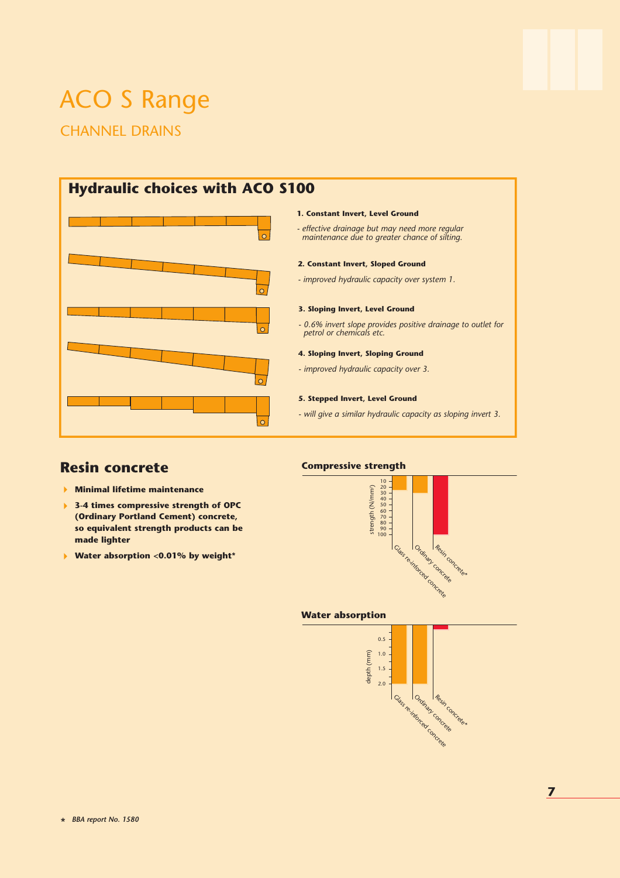## ACO S Range CHANNEL DRAINS

## **Hydraulic choices with ACO S100**



#### **1. Constant Invert, Level Ground**

*- effective drainage but may need more regular maintenance due to greater chance of silting.*

#### **2. Constant Invert, Sloped Ground**

*- improved hydraulic capacity over system 1.*

#### **3. Sloping Invert, Level Ground**

*- 0.6% invert slope provides positive drainage to outlet for petrol or chemicals etc.*

#### **4. Sloping Invert, Sloping Ground**

*- improved hydraulic capacity over 3.*

#### **5. Stepped Invert, Level Ground**

*- will give a similar hydraulic capacity as sloping invert 3.*

### **Resin concrete**

- ! **Minimal lifetime maintenance**
- ! **3-4 times compressive strength of OPC (Ordinary Portland Cement) concrete, so equivalent strength products can be made lighter**
- ! **Water absorption <0.01% by weight\***



#### **Water absorption**

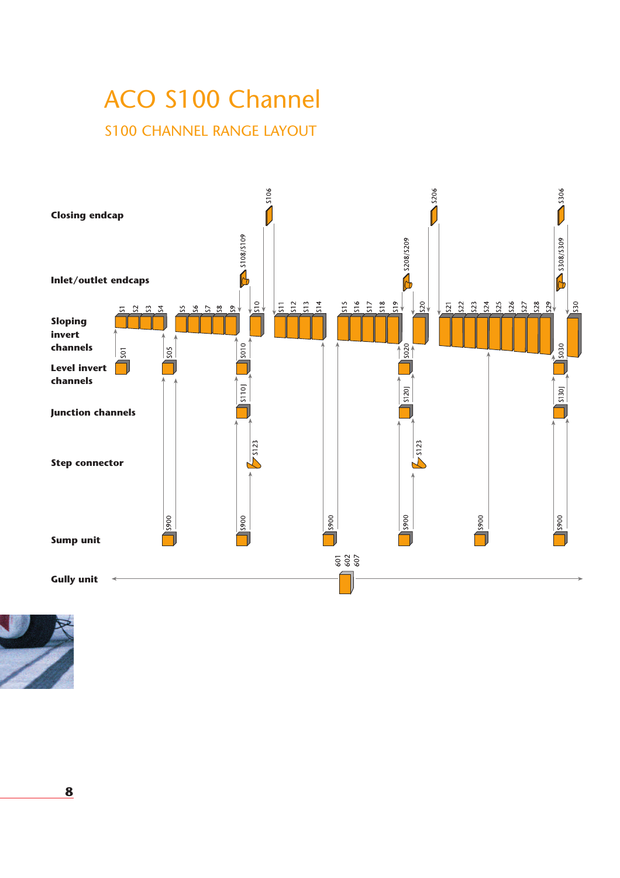# ACO S100 Channel S100 CHANNEL RANGE LAYOUT



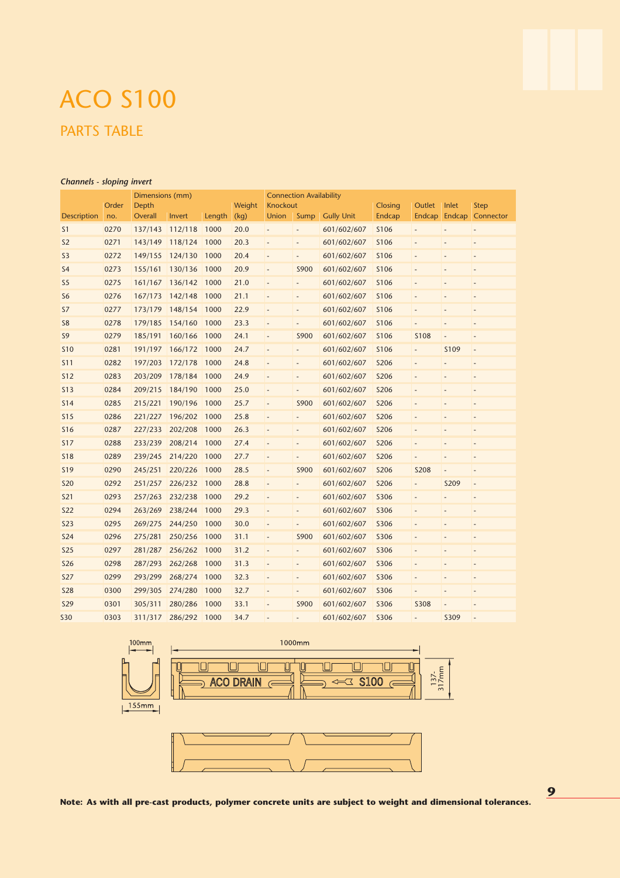### *Channels - sloping invert*

| Dimensions (mm)    |       |         |         | <b>Connection Availability</b> |        |                          |                              |                   |                |                          |                |                          |
|--------------------|-------|---------|---------|--------------------------------|--------|--------------------------|------------------------------|-------------------|----------------|--------------------------|----------------|--------------------------|
|                    | Order | Depth   |         |                                | Weight | Knockout                 |                              |                   | <b>Closing</b> | Outlet                   | Inlet          | <b>Step</b>              |
| <b>Description</b> | no.   | Overall | Invert  | Length                         | (kq)   | Union                    | Sump                         | <b>Gully Unit</b> | Endcap         | <b>Endcap</b>            |                | Endcap Connector         |
| S <sub>1</sub>     | 0270  | 137/143 | 112/118 | 1000                           | 20.0   | $\overline{\phantom{a}}$ | $\overline{\phantom{0}}$     | 601/602/607       | <b>S106</b>    | $\overline{\phantom{a}}$ |                | $\overline{a}$           |
| S <sub>2</sub>     | 0271  | 143/149 | 118/124 | 1000                           | 20.3   |                          | $\overline{a}$               | 601/602/607       | <b>S106</b>    |                          |                | $\overline{a}$           |
| S <sub>3</sub>     | 0272  | 149/155 | 124/130 | 1000                           | 20.4   | $\overline{a}$           | $\overline{\phantom{m}}$     | 601/602/607       | <b>S106</b>    |                          |                | $\overline{a}$           |
| S <sub>4</sub>     | 0273  | 155/161 | 130/136 | 1000                           | 20.9   | $\overline{\phantom{a}}$ | S900                         | 601/602/607       | S106           | $\overline{a}$           |                | $\overline{a}$           |
| S <sub>5</sub>     | 0275  | 161/167 | 136/142 | 1000                           | 21.0   | $\overline{\phantom{a}}$ | $\overline{\phantom{m}}$     | 601/602/607       | <b>S106</b>    | $\overline{a}$           | L,             | $\overline{a}$           |
| S <sub>6</sub>     | 0276  | 167/173 | 142/148 | 1000                           | 21.1   | $\overline{\phantom{a}}$ | $\overline{\phantom{0}}$     | 601/602/607       | S106           | $\overline{a}$           |                | $\overline{a}$           |
| S7                 | 0277  | 173/179 | 148/154 | 1000                           | 22.9   |                          | $\overline{\phantom{0}}$     | 601/602/607       | S106           |                          |                |                          |
| S <sub>8</sub>     | 0278  | 179/185 | 154/160 | 1000                           | 23.3   | $\overline{\phantom{a}}$ | $\overline{a}$               | 601/602/607       | <b>S106</b>    |                          | L.             | $\overline{a}$           |
| S <sub>9</sub>     | 0279  | 185/191 | 160/166 | 1000                           | 24.1   | $\overline{\phantom{a}}$ | S900                         | 601/602/607       | S106           | <b>S108</b>              | ÷,             | $\overline{a}$           |
| <b>S10</b>         | 0281  | 191/197 | 166/172 | 1000                           | 24.7   | $\overline{a}$           | $\overline{\phantom{m}}$     | 601/602/607       | S106           | $\overline{\phantom{a}}$ | S109           | $\overline{a}$           |
| <b>S11</b>         | 0282  | 197/203 | 172/178 | 1000                           | 24.8   | $\overline{\phantom{a}}$ | $\overline{a}$               | 601/602/607       | <b>S206</b>    | $\overline{\phantom{m}}$ |                | Ĭ.                       |
| <b>S12</b>         | 0283  | 203/209 | 178/184 | 1000                           | 24.9   | $\overline{\phantom{a}}$ | $\overline{\phantom{0}}$     | 601/602/607       | <b>S206</b>    | $\overline{\phantom{a}}$ | $\overline{a}$ | $\overline{\phantom{0}}$ |
| <b>S13</b>         | 0284  | 209/215 | 184/190 | 1000                           | 25.0   | $\overline{\phantom{a}}$ | $\frac{1}{2}$                | 601/602/607       | <b>S206</b>    |                          |                | L,                       |
| S <sub>14</sub>    | 0285  | 215/221 | 190/196 | 1000                           | 25.7   | $\overline{a}$           | S900                         | 601/602/607       | <b>S206</b>    | $\overline{a}$           |                | $\overline{a}$           |
| <b>S15</b>         | 0286  | 221/227 | 196/202 | 1000                           | 25.8   | $\overline{\phantom{a}}$ | $\overline{\phantom{0}}$     | 601/602/607       | <b>S206</b>    | $\overline{\phantom{m}}$ | ٠              | $\overline{a}$           |
| <b>S16</b>         | 0287  | 227/233 | 202/208 | 1000                           | 26.3   | $\overline{\phantom{a}}$ | $\qquad \qquad \blacksquare$ | 601/602/607       | <b>S206</b>    | $\overline{a}$           | $\overline{a}$ | $\overline{a}$           |
| <b>S17</b>         | 0288  | 233/239 | 208/214 | 1000                           | 27.4   | $\overline{\phantom{a}}$ | $\overline{a}$               | 601/602/607       | <b>S206</b>    | $\overline{a}$           | ÷,             | $\overline{a}$           |
| <b>S18</b>         | 0289  | 239/245 | 214/220 | 1000                           | 27.7   | $\overline{\phantom{a}}$ | $\overline{a}$               | 601/602/607       | <b>S206</b>    | $\overline{a}$           | ÷,             | $\overline{a}$           |
| <b>S19</b>         | 0290  | 245/251 | 220/226 | 1000                           | 28.5   | $\overline{\phantom{a}}$ | S900                         | 601/602/607       | <b>S206</b>    | <b>S208</b>              | ÷,             | $\overline{a}$           |
| <b>S20</b>         | 0292  | 251/257 | 226/232 | 1000                           | 28.8   | $\overline{a}$           | $\overline{\phantom{0}}$     | 601/602/607       | <b>S206</b>    | $\overline{\phantom{a}}$ | S209           | $\overline{a}$           |
| <b>S21</b>         | 0293  | 257/263 | 232/238 | 1000                           | 29.2   | $\overline{\phantom{a}}$ | $\overline{a}$               | 601/602/607       | <b>S306</b>    | $\overline{a}$           |                | $\overline{a}$           |
| <b>S22</b>         | 0294  | 263/269 | 238/244 | 1000                           | 29.3   | $\overline{\phantom{a}}$ | $\frac{1}{2}$                | 601/602/607       | <b>S306</b>    | $\frac{1}{2}$            | ÷,             | $\overline{a}$           |
| <b>S23</b>         | 0295  | 269/275 | 244/250 | 1000                           | 30.0   | $\overline{a}$           | $\overline{a}$               | 601/602/607       | <b>S306</b>    |                          |                | $\overline{a}$           |
| <b>S24</b>         | 0296  | 275/281 | 250/256 | 1000                           | 31.1   | $\overline{\phantom{a}}$ | S900                         | 601/602/607       | <b>S306</b>    | $\overline{\phantom{m}}$ |                | $\overline{a}$           |
| <b>S25</b>         | 0297  | 281/287 | 256/262 | 1000                           | 31.2   | $\overline{\phantom{a}}$ | $\overline{\phantom{0}}$     | 601/602/607       | <b>S306</b>    | $\overline{\phantom{a}}$ | ÷,             | $\overline{\phantom{0}}$ |
| <b>S26</b>         | 0298  | 287/293 | 262/268 | 1000                           | 31.3   | $\overline{\phantom{a}}$ | $\qquad \qquad \blacksquare$ | 601/602/607       | <b>S306</b>    | $\overline{a}$           |                | $\overline{a}$           |
| <b>S27</b>         | 0299  | 293/299 | 268/274 | 1000                           | 32.3   | $\overline{a}$           | $\qquad \qquad \blacksquare$ | 601/602/607       | <b>S306</b>    |                          | ٠              | $\overline{a}$           |
| <b>S28</b>         | 0300  | 299/305 | 274/280 | 1000                           | 32.7   | $\overline{\phantom{a}}$ | $\overline{\phantom{m}}$     | 601/602/607       | <b>S306</b>    | $\overline{a}$           | ÷,             | $\overline{a}$           |
| <b>S29</b>         | 0301  | 305/311 | 280/286 | 1000                           | 33.1   | $\overline{a}$           | S900                         | 601/602/607       | <b>S306</b>    | <b>S308</b>              |                | $\overline{a}$           |
| <b>S30</b>         | 0303  | 311/317 | 286/292 | 1000                           | 34.7   |                          |                              | 601/602/607       | <b>S306</b>    |                          | S309           | $\overline{a}$           |



 $\frac{155 \text{mm}}{2}$  $\overline{1}$ 



**Note: As with all pre-cast products, polymer concrete units are subject to weight and dimensional tolerances.**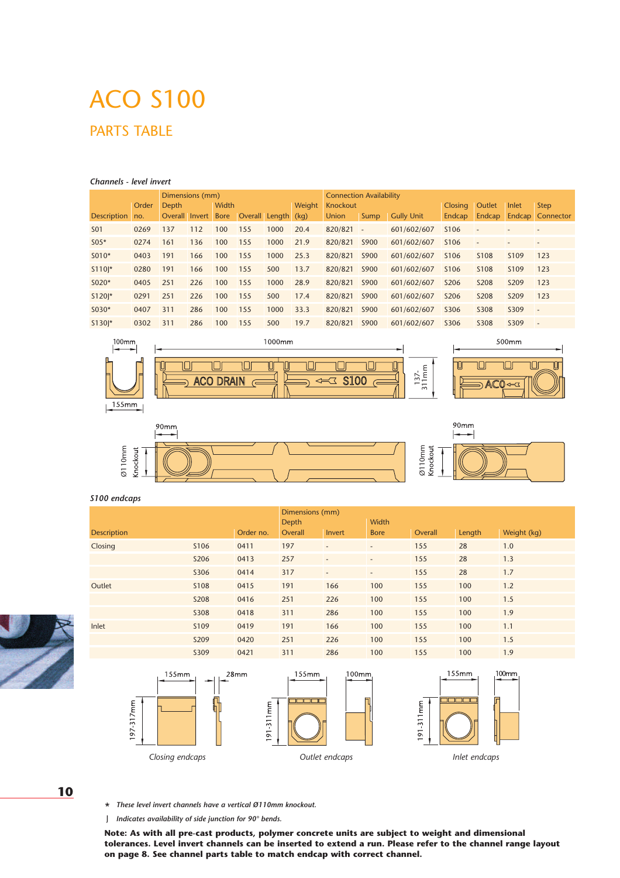#### *Channels - level invert*

| Dimensions (mm)     |       |                |        |             | <b>Connection Availability</b> |               |      |              |                          |                   |                  |                  |                  |                          |
|---------------------|-------|----------------|--------|-------------|--------------------------------|---------------|------|--------------|--------------------------|-------------------|------------------|------------------|------------------|--------------------------|
|                     | Order | Depth          | Width  |             |                                | <b>Weight</b> |      | Knockout     |                          |                   | <b>Outlet</b>    | Inlet            | <b>Step</b>      |                          |
| <b>Description</b>  | no.   | <b>Overall</b> | Invert | <b>Bore</b> | Overall Length (kg)            |               |      | <b>Union</b> | Sump                     | <b>Gully Unit</b> | Endcap           | <b>Endcap</b>    |                  | <b>Endcap Connector</b>  |
| S <sub>0</sub> 1    | 0269  | 137            | 112    | 100         | 155                            | 1000          | 20.4 | 820/821      | $\overline{\phantom{a}}$ | 601/602/607       | S <sub>106</sub> |                  |                  | $\overline{\phantom{a}}$ |
| $S05*$              | 0274  | 161            | 136    | 100         | 155                            | 1000          | 21.9 | 820/821      | S900                     | 601/602/607       | S <sub>106</sub> |                  |                  | $\overline{\phantom{a}}$ |
| $S010*$             | 0403  | 191            | 166    | 100         | 155                            | 1000          | 25.3 | 820/821      | S900                     | 601/602/607       | S <sub>106</sub> | S <sub>108</sub> | S <sub>109</sub> | 123                      |
| $S110*$             | 0280  | 191            | 166    | 100         | 155                            | 500           | 13.7 | 820/821      | S900                     | 601/602/607       | S <sub>106</sub> | S <sub>108</sub> | S <sub>109</sub> | 123                      |
| $S020*$             | 0405  | 251            | 226    | 100         | 155                            | 1000          | 28.9 | 820/821      | S900                     | 601/602/607       | S206             | S208             | S209             | 123                      |
| S120 <sup>*</sup>   | 0291  | 251            | 226    | 100         | 155                            | 500           | 17.4 | 820/821      | S900                     | 601/602/607       | S206             | S208             | S209             | 123                      |
| $S030*$             | 0407  | 311            | 286    | 100         | 155                            | 1000          | 33.3 | 820/821      | S900                     | 601/602/607       | S306             | S308             | S309             | $\overline{\phantom{a}}$ |
| $S130$ <sup>*</sup> | 0302  | 311            | 286    | 100         | 155                            | 500           | 19.7 | 820/821      | S900                     | 601/602/607       | S306             | S308             | S309             | $\overline{\phantom{a}}$ |
|                     |       |                |        |             |                                |               |      |              |                          |                   |                  |                  |                  |                          |





#### *S100 endcaps*

197-317mm

|                    |                  |           | Dimensions (mm) |                          |                          |         |        |             |  |
|--------------------|------------------|-----------|-----------------|--------------------------|--------------------------|---------|--------|-------------|--|
|                    | <b>Depth</b>     |           | <b>Width</b>    |                          |                          |         |        |             |  |
| <b>Description</b> |                  | Order no. | Overall         | Invert                   | <b>Bore</b>              | Overall | Length | Weight (kg) |  |
| Closing            | S <sub>106</sub> | 0411      | 197             | $\overline{\phantom{a}}$ | $\overline{\phantom{a}}$ | 155     | 28     | 1.0         |  |
|                    | S206             | 0413      | 257             | $\overline{\phantom{a}}$ | $\overline{\phantom{a}}$ | 155     | 28     | 1.3         |  |
|                    | S306             | 0414      | 317             | $\overline{\phantom{0}}$ | $\overline{\phantom{0}}$ | 155     | 28     | 1.7         |  |
| Outlet             | S108             | 0415      | 191             | 166                      | 100                      | 155     | 100    | 1.2         |  |
|                    | S208             | 0416      | 251             | 226                      | 100                      | 155     | 100    | 1.5         |  |
|                    | <b>S308</b>      | 0418      | 311             | 286                      | 100                      | 155     | 100    | 1.9         |  |
| Inlet              | S <sub>109</sub> | 0419      | 191             | 166                      | 100                      | 155     | 100    | 1.1         |  |
|                    | S209             | 0420      | 251             | 226                      | 100                      | 155     | 100    | 1.5         |  |
|                    | S309             | 0421      | 311             | 286                      | 100                      | 155     | 100    | 1.9         |  |







**10**

\* *These level invert channels have a vertical Ø110mm knockout.*

J *Indicates availability of side junction for 90° bends.* 

**Note: As with all pre-cast products, polymer concrete units are subject to weight and dimensional tolerances. Level invert channels can be inserted to extend a run. Please refer to the channel range layout on page 8. See channel parts table to match endcap with correct channel.**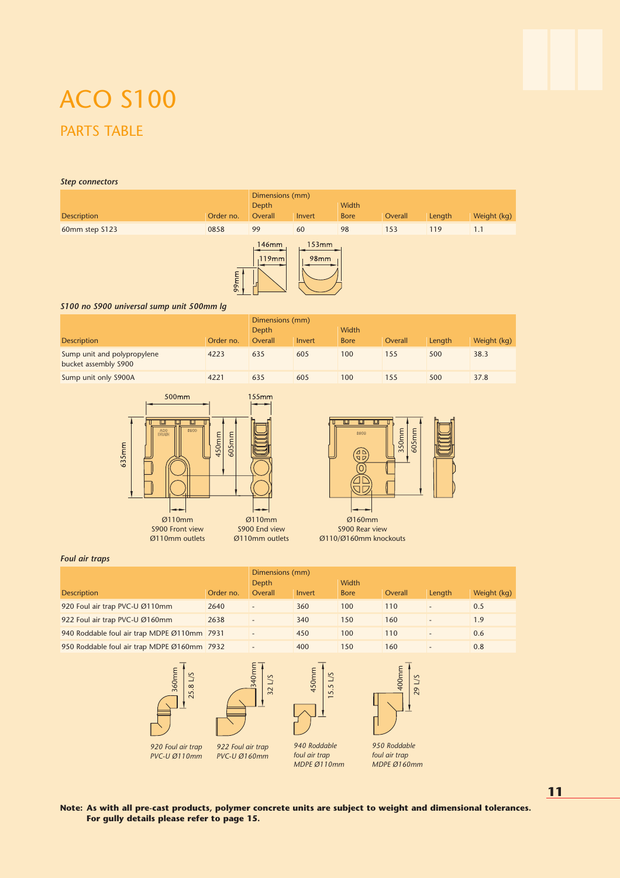#### *Step connectors*

|                        | Dimensions (mm)<br>Depth |                | Width                |             |         |        |             |
|------------------------|--------------------------|----------------|----------------------|-------------|---------|--------|-------------|
| <b>Description</b>     | Order no.                | Overall        | Invert               | <b>Bore</b> | Overall | Length | Weight (kg) |
| 0858<br>60mm step S123 |                          | 99             | 60                   | 98          | 153     | 119    | 1.1         |
|                        |                          | 146mm<br>119mm | 153mm<br><b>98mm</b> |             |         |        |             |



#### *S100 no S900 universal sump unit 500mm lg*

|                                                      |           | Dimensions (mm) |        |             |         |        |             |
|------------------------------------------------------|-----------|-----------------|--------|-------------|---------|--------|-------------|
|                                                      | Depth     |                 | Width  |             |         |        |             |
| <b>Description</b>                                   | Order no. | Overall         | Invert | <b>Bore</b> | Overall | Length | Weight (kg) |
| Sump unit and polypropylene<br>bucket assembly \$900 | 4223      | 635             | 605    | 100         | 155     | 500    | 38.3        |
| Sump unit only S900A                                 | 4221      | 635             | 605    | 100         | 155     | 500    | 37.8        |





S900 Rear view Ø110/Ø160mm knockouts

#### *Foul air traps*

|                                             | Dimensions (mm) |                 |        |             |         |                          |             |  |  |
|---------------------------------------------|-----------------|-----------------|--------|-------------|---------|--------------------------|-------------|--|--|
|                                             | Depth           |                 | Width  |             |         |                          |             |  |  |
| <b>Description</b>                          | Order no.       | Overall         | Invert | <b>Bore</b> | Overall | Length                   | Weight (kg) |  |  |
| 920 Foul air trap PVC-U Ø110mm              | 2640            |                 | 360    | 100         | 110     | $\overline{\phantom{0}}$ | 0.5         |  |  |
| 922 Foul air trap PVC-U Ø160mm              | 2638            |                 | 340    | 150         | 160     | $\overline{\phantom{0}}$ | 1.9         |  |  |
| 940 Roddable foul air trap MDPE Ø110mm 7931 |                 |                 | 450    | 100         | 110     |                          | 0.6         |  |  |
| 950 Roddable foul air trap MDPE Ø160mm 7932 |                 | $\qquad \qquad$ | 400    | 150         | 160     | $\overline{\phantom{0}}$ | 0.8         |  |  |









*940 Roddable foul air trap*



*950 Roddable*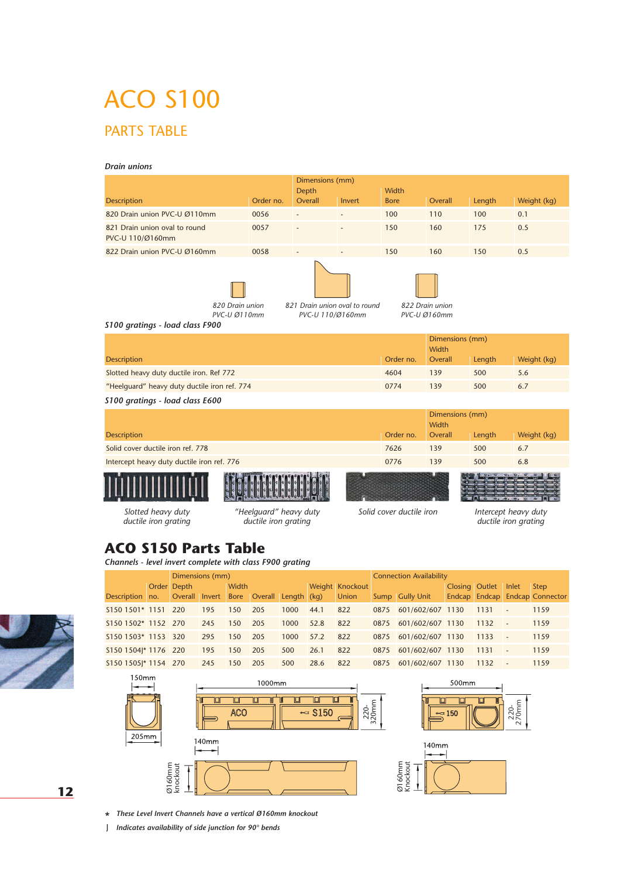#### *Drain unions*

|                                                                                                                                                            |           | Dimensions (mm) |        |             |                          |        |             |  |  |  |
|------------------------------------------------------------------------------------------------------------------------------------------------------------|-----------|-----------------|--------|-------------|--------------------------|--------|-------------|--|--|--|
|                                                                                                                                                            |           | Depth           |        | Width       |                          |        |             |  |  |  |
| <b>Description</b>                                                                                                                                         | Order no. | Overall         | Invert | <b>Bore</b> | Overall                  | Length | Weight (kg) |  |  |  |
| 820 Drain union PVC-U Ø110mm                                                                                                                               | 0056      |                 |        | 100         | 110                      | 100    | 0.1         |  |  |  |
| 821 Drain union oval to round<br>PVC-U 110/Ø160mm                                                                                                          | 0057      |                 |        | 150         | 160                      | 175    | 0.5         |  |  |  |
| 822 Drain union PVC-U Ø160mm                                                                                                                               | 0058      |                 |        | 150         | 160                      | 150    | 0.5         |  |  |  |
| 820 Drain union<br>821 Drain union oval to round<br>822 Drain union<br>PVC-U Ø110mm<br>PVC-U 110/Ø160mm<br>PVC-U Ø160mm<br>S100 gratings - load class F900 |           |                 |        |             |                          |        |             |  |  |  |
|                                                                                                                                                            |           |                 |        |             | Dimensions (mm)          |        |             |  |  |  |
|                                                                                                                                                            |           |                 |        |             | Width                    |        |             |  |  |  |
| <b>Description</b>                                                                                                                                         |           |                 |        | Order no.   | Overall                  | Length | Weight (kg) |  |  |  |
| Slotted heavy duty ductile iron. Ref 772                                                                                                                   |           |                 |        | 4604        | 139                      | 500    | 5.6         |  |  |  |
| "Heelquard" heavy duty ductile iron ref. 774                                                                                                               |           |                 |        | 0774        | 139                      | 500    | 6.7         |  |  |  |
| S100 gratings - load class E600                                                                                                                            |           |                 |        |             |                          |        |             |  |  |  |
|                                                                                                                                                            |           |                 |        |             | Dimensions (mm)<br>Width |        |             |  |  |  |
| <b>Description</b>                                                                                                                                         |           |                 |        | Order no.   | Overall                  | Length | Weight (kg) |  |  |  |
| Solid cover ductile iron ref. 778                                                                                                                          |           |                 |        | 7626        | 139                      | 500    | 6.7         |  |  |  |
| Intercept heavy duty ductile iron ref. 776                                                                                                                 |           |                 |        | 0776        | 139                      | 500    | 6.8         |  |  |  |

*Slotted heavy duty ductile iron grating*

*"Heelguard" heavy duty ductile iron grating*

*Solid cover ductile iron*

*Intercept heavy duty ductile iron grating*

### **ACO S150 Parts Table**

*Channels - level invert complete with class F900 grating*

| Dimensions (mm)      |  |                |     |              |                     |      |      |                 | <b>Connection Availability</b> |                  |                |      |                          |                                |
|----------------------|--|----------------|-----|--------------|---------------------|------|------|-----------------|--------------------------------|------------------|----------------|------|--------------------------|--------------------------------|
|                      |  | Order Depth    |     | <b>Width</b> |                     |      |      | Weight Knockout |                                |                  | Closing Outlet |      | Inlet                    | Step                           |
| Description no.      |  | Overall Invert |     | <b>Bore</b>  | Overall Length (kg) |      |      | <b>Union</b>    |                                | Sump Gully Unit  |                |      |                          | Endcap Endcap Endcap Connector |
| S150 1501* 1151      |  | 220            | 195 | 150          | 205                 | 1000 | 44.1 | 822             | 0875                           | 601/602/607 1130 |                | 1131 | $\overline{\phantom{a}}$ | 1159                           |
| S150 1502* 1152 270  |  |                | 245 | 150          | 205                 | 1000 | 52.8 | 822             | 0875                           | 601/602/607 1130 |                | 1132 |                          | 1159                           |
| S150 1503* 1153 320  |  |                | 295 | 150          | 205                 | 1000 | 57.2 | 822             | 0875                           | 601/602/607 1130 |                | 1133 |                          | 1159                           |
| S150 1504 * 1176 220 |  |                | 195 | 150          | 205                 | 500  | 26.1 | 822             | 0875                           | 601/602/607 1130 |                | 1131 |                          | 1159                           |
| S150 1505 * 1154 270 |  |                | 245 | 150          | 205                 | 500  | 28.6 | 822             | 0875                           | 601/602/607 1130 |                | 1132 |                          | 1159                           |

220- 320mm







\* *These Level Invert Channels have a vertical Ø160mm knockout*

J *Indicates availability of side junction for 90° bends* 



**12**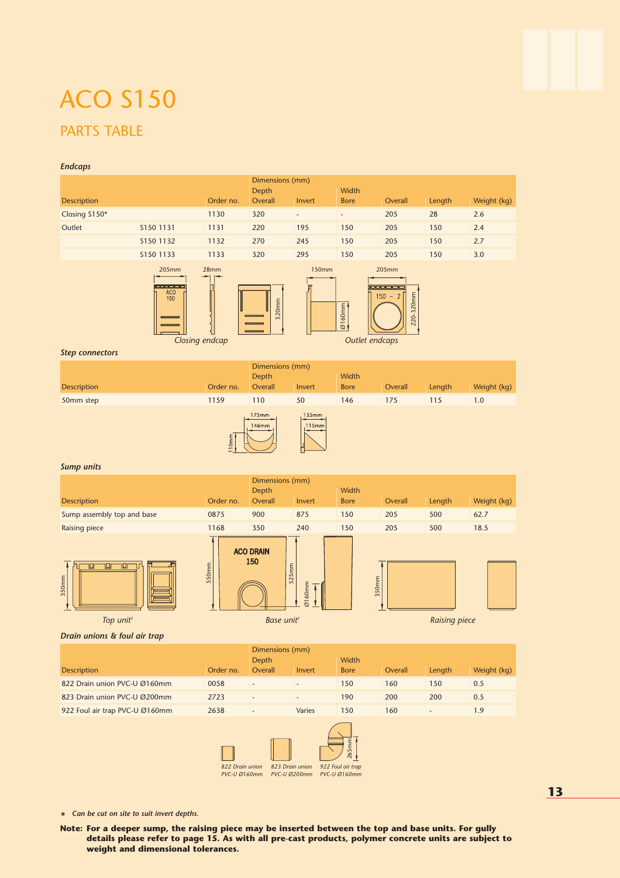#### *Endcaps*









*Top unit† Base unit† Raising piece*

#### *Drain unions & foul air trap*

|                                | Dimensions (mm) |                          |                          |             |         |        |             |  |  |
|--------------------------------|-----------------|--------------------------|--------------------------|-------------|---------|--------|-------------|--|--|
|                                | Depth           |                          | Width                    |             |         |        |             |  |  |
| <b>Description</b>             | Order no.       | Overall                  | Invert                   | <b>Bore</b> | Overall | Length | Weight (kg) |  |  |
| 822 Drain union PVC-U Ø160mm   | 0058            | $\overline{\phantom{0}}$ |                          | 150         | 160     | 150    | 0.5         |  |  |
| 823 Drain union PVC-U Ø200mm   | 2723            | $\overline{\phantom{a}}$ | $\overline{\phantom{a}}$ | 190         | 200     | 200    | 0.5         |  |  |
| 922 Foul air trap PVC-U Ø160mm | 2638            | $\overline{\phantom{0}}$ | Varies                   | 150         | 160     |        | 1.9         |  |  |



\* *Can be cut on site to suit invert depths.*

**Note: For a deeper sump, the raising piece may be inserted between the top and base units. For gully details please refer to page 15. As with all pre-cast products, polymer concrete units are subject to weight and dimensional tolerances.**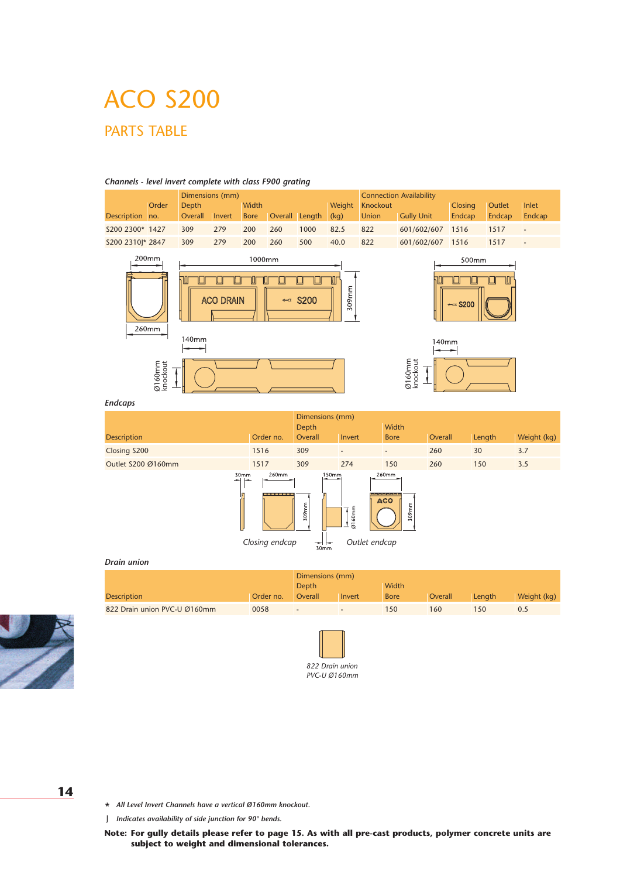

#### *Channels - level invert complete with class F900 grating*

#### *Endcaps*

|                     |                                                               | Dimensions (mm)              |                          |                                           |         |        |             |
|---------------------|---------------------------------------------------------------|------------------------------|--------------------------|-------------------------------------------|---------|--------|-------------|
|                     |                                                               | Depth                        |                          | Width                                     |         |        |             |
| <b>Description</b>  | Order no.                                                     | Overall                      | Invert                   | <b>Bore</b>                               | Overall | Length | Weight (kg) |
| Closing S200        | 1516                                                          | 309                          | $\overline{\phantom{a}}$ | $\overline{a}$                            | 260     | 30     | 3.7         |
| Outlet \$200 Ø160mm | 1517                                                          | 309                          | 274                      | 150                                       | 260     | 150    | 3.5         |
| 30mm<br>-<br>-      | 260mm<br>(and and and the first start and i<br>Closing endcap | 150mm<br>309mm<br>--<br>30mm | Ø160mm<br>Outlet endcap  | 260mm<br>---------<br><b>ACO</b><br>309mm |         |        |             |

#### *Drain union*

|                              |           | Dimensions (mm)          |                          |              |         |        |             |
|------------------------------|-----------|--------------------------|--------------------------|--------------|---------|--------|-------------|
|                              |           | Depth                    |                          | <b>Width</b> |         |        |             |
| <b>Description</b>           | Order no. | Overall                  | Invert                   | <b>Bore</b>  | Overall | Length | Weight (kg) |
| 822 Drain union PVC-U Ø160mm | 0058      | $\overline{\phantom{0}}$ | $\overline{\phantom{0}}$ | 50           | 160     | 150    | 0.5         |



*822 Drain union PVC-U Ø160mm*

**14**

\* *All Level Invert Channels have a vertical Ø160mm knockout.*

J *Indicates availability of side junction for 90° bends.* 

**Note: For gully details please refer to page 15. As with all pre-cast products, polymer concrete units are subject to weight and dimensional tolerances.**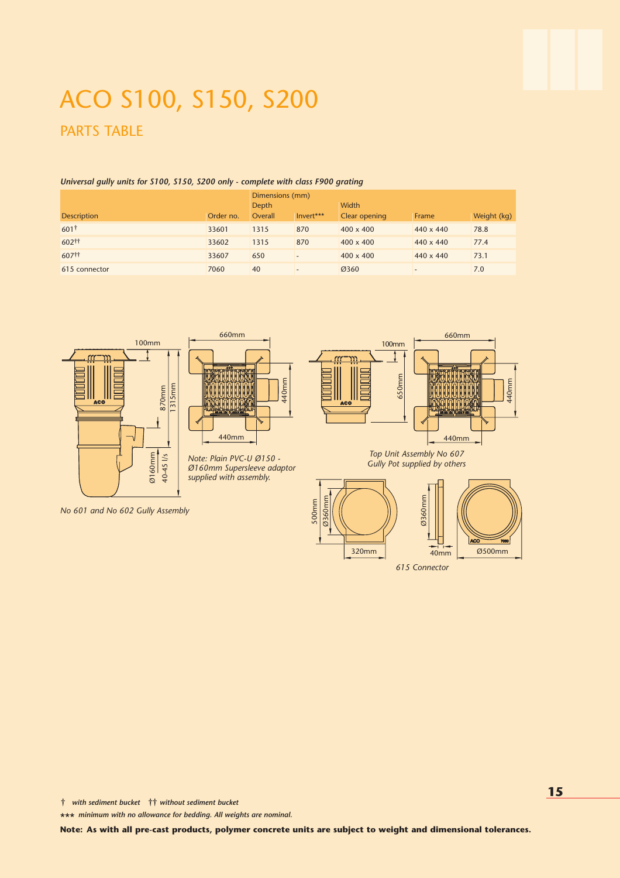## ACO S100, S150, S200 PARTS TABLE

#### *Universal gully units for S100, S150, S200 only - complete with class F900 grating*

|                    |           | Dimensions (mm) |           |                  |                  |             |  |  |  |  |
|--------------------|-----------|-----------------|-----------|------------------|------------------|-------------|--|--|--|--|
|                    |           | <b>Depth</b>    |           | Width            |                  |             |  |  |  |  |
| <b>Description</b> | Order no. | Overall         | Invert*** | Clear opening    | Frame            | Weight (kg) |  |  |  |  |
| 601†               | 33601     | 1315            | 870       | $400 \times 400$ | 440 x 440        | 78.8        |  |  |  |  |
| 602 <sup>††</sup>  | 33602     | 1315            | 870       | $400 \times 400$ | $440 \times 440$ | 77.4        |  |  |  |  |
| 607#               | 33607     | 650             |           | $400 \times 400$ | $440 \times 440$ | 73.1        |  |  |  |  |
| 615 connector      | 7060      | 40              |           | Ø360             |                  | 7.0         |  |  |  |  |





*Note: Plain PVC-U Ø150 - Ø160mm Supersleeve adaptor supplied with assembly.*



#### *Top Unit Assembly No 607 Gully Pot supplied by others*



*615 Connector*

*No 601 and No 602 Gully Assembly*

† *with sediment bucket* †† *without sediment bucket* 

\*\*\* *minimum with no allowance for bedding. All weights are nominal.*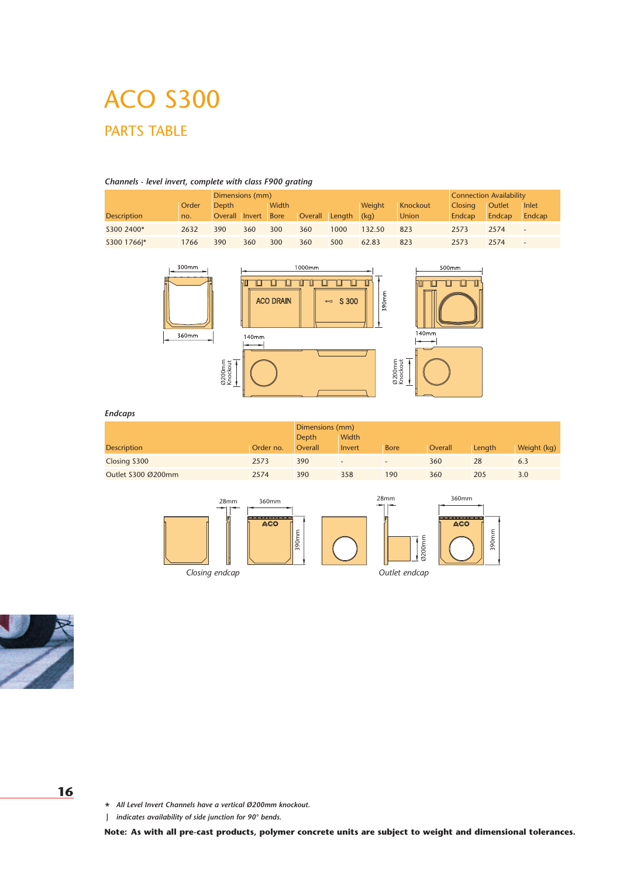#### *Channels - level invert, complete with class F900 grating* Dimensions (mm) Connection Availability Order Depth Width Weight Knockout Closing Outlet Inlet Description 10. Overall Invert Bore Overall Length (kg) Union Endcap Endcap Endcap S300 2400\* 2632 390 360 300 360 1000 132.50 823 2573 2574 - S300 1766J\* 1766 390 360 300 360 500 62.83 823 2573 2574 -



#### *Endcaps*

|                    |           | Dimensions (mm) |                              |             |                |        |             |
|--------------------|-----------|-----------------|------------------------------|-------------|----------------|--------|-------------|
|                    |           | <b>Depth</b>    | <b>Width</b>                 |             |                |        |             |
| <b>Description</b> | Order no. | Overall         | Invert                       | <b>Bore</b> | <b>Overall</b> | Length | Weight (kg) |
| Closing S300       | 2573      | 390             | $\qquad \qquad \blacksquare$ |             | 360            | 28     | 6.3         |
| Outlet S300 Ø200mm | 2574      | 390             | 358                          | 190         | 360            | 205    | 3.0         |





#### **16**

\* *All Level Invert Channels have a vertical Ø200mm knockout.*

J *indicates availability of side junction for 90° bends.*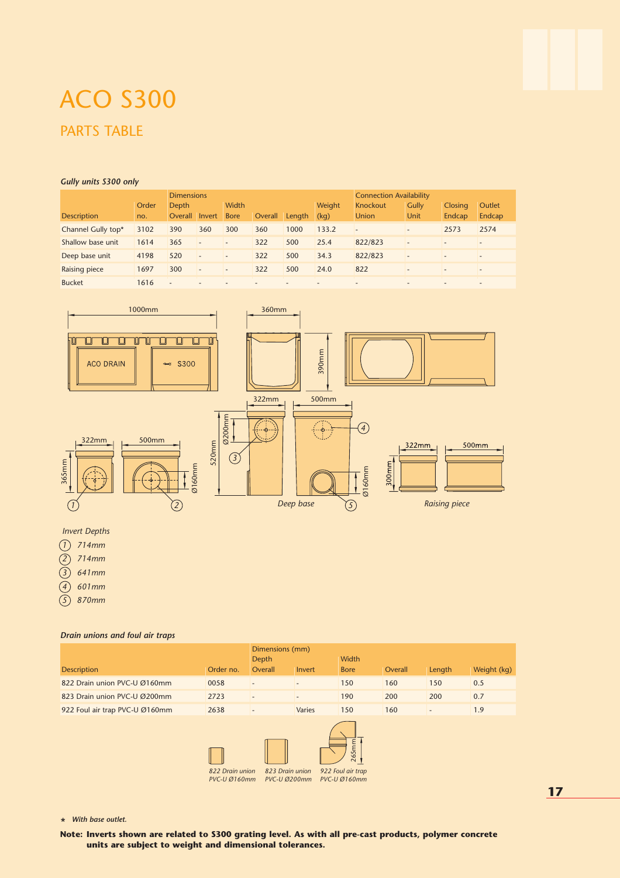#### *Gully units S300 only*

|                    |       | <b>Dimensions</b>        |                          |                          |                          |                          | <b>Connection Availability</b> |                          |                          |                          |                          |
|--------------------|-------|--------------------------|--------------------------|--------------------------|--------------------------|--------------------------|--------------------------------|--------------------------|--------------------------|--------------------------|--------------------------|
|                    | Order | Depth                    |                          | Width                    |                          |                          | <b>Weight</b>                  | Knockout                 | <b>Gully</b>             | <b>Closing</b>           | <b>Outlet</b>            |
| <b>Description</b> | no.   | <b>Overall</b>           | Invert                   | <b>Bore</b>              | Overall                  | Length                   | (kq)                           | <b>Union</b>             | Unit                     | Endcap                   | Endcap                   |
| Channel Gully top* | 3102  | 390                      | 360                      | 300                      | 360                      | 1000                     | 133.2                          | $\overline{a}$           | $\overline{\phantom{a}}$ | 2573                     | 2574                     |
| Shallow base unit  | 1614  | 365                      | $\overline{\phantom{m}}$ | $\overline{\phantom{a}}$ | 322                      | 500                      | 25.4                           | 822/823                  | $\overline{\phantom{a}}$ | $\overline{\phantom{0}}$ | $\overline{\phantom{a}}$ |
| Deep base unit     | 4198  | 520                      | $\overline{\phantom{a}}$ | $\overline{\phantom{a}}$ | 322                      | 500                      | 34.3                           | 822/823                  | $\overline{\phantom{m}}$ | $\overline{\phantom{0}}$ | $\overline{\phantom{a}}$ |
| Raising piece      | 1697  | 300                      | $\overline{\phantom{a}}$ | $\overline{\phantom{a}}$ | 322                      | 500                      | 24.0                           | 822                      | $\overline{\phantom{0}}$ | $\overline{\phantom{0}}$ | $\overline{\phantom{0}}$ |
| <b>Bucket</b>      | 1616  | $\overline{\phantom{a}}$ | $\overline{\phantom{a}}$ | $\overline{\phantom{a}}$ | $\overline{\phantom{0}}$ | $\overline{\phantom{a}}$ | $\overline{a}$                 | $\overline{\phantom{0}}$ | $\overline{\phantom{a}}$ | $\overline{\phantom{0}}$ | $\overline{\phantom{0}}$ |



### *Invert Depths*

*1 714mm*

*2 714mm*

*3 641mm*

*4 601mm*

*5 870mm*

#### *Drain unions and foul air traps*

|                                | Dimensions (mm) |         |                          |             |         |        |             |  |  |
|--------------------------------|-----------------|---------|--------------------------|-------------|---------|--------|-------------|--|--|
|                                | Depth           |         | Width                    |             |         |        |             |  |  |
| <b>Description</b>             | Order no.       | Overall | Invert                   | <b>Bore</b> | Overall | Length | Weight (kg) |  |  |
| 822 Drain union PVC-U Ø160mm   | 0058            |         |                          | 150         | 160     | 150    | 0.5         |  |  |
| 823 Drain union PVC-U Ø200mm   | 2723            |         | $\overline{\phantom{0}}$ | 190         | 200     | 200    | 0.7         |  |  |
| 922 Foul air trap PVC-U Ø160mm |                 | Varies  | 150                      | 160         |         | 1.9    |             |  |  |



\* *With base outlet.*

**Note: Inverts shown are related to S300 grating level. As with all pre-cast products, polymer concrete**

**17**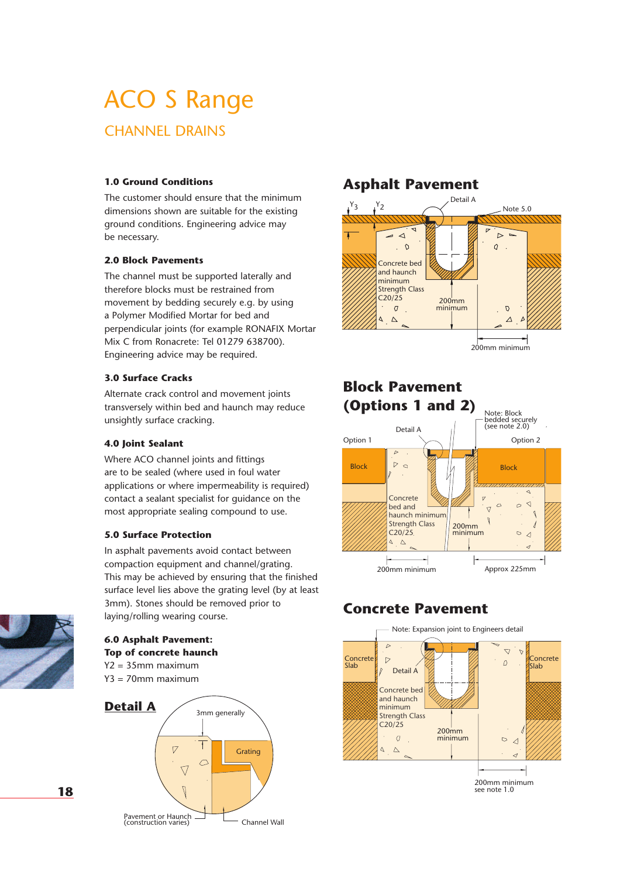## ACO S Range CHANNEL DRAINS

### **1.0 Ground Conditions**

The customer should ensure that the minimum dimensions shown are suitable for the existing ground conditions. Engineering advice may be necessary.

#### **2.0 Block Pavements**

The channel must be supported laterally and therefore blocks must be restrained from movement by bedding securely e.g. by using a Polymer Modified Mortar for bed and perpendicular joints (for example RONAFIX Mortar Mix C from Ronacrete: Tel 01279 638700). Engineering advice may be required.

#### **3.0 Surface Cracks**

Alternate crack control and movement joints transversely within bed and haunch may reduce unsightly surface cracking.

#### **4.0 Joint Sealant**

Where ACO channel joints and fittings are to be sealed (where used in foul water applications or where impermeability is required) contact a sealant specialist for guidance on the most appropriate sealing compound to use.

#### **5.0 Surface Protection**

In asphalt pavements avoid contact between compaction equipment and channel/grating. This may be achieved by ensuring that the finished surface level lies above the grating level (by at least 3mm). Stones should be removed prior to laying/rolling wearing course.



### **6.0 Asphalt Pavement: Top of concrete haunch**

Y2 = 35mm maximum Y3 = 70mm maximum



### **Asphalt Pavement**



#### **Block Pavement (Options 1 and 2)** Note: Block bedded securely (see note 2.0) Detail A Option 1  $\qquad \qquad$  | | Option 2  $\triangleright$   $\circ$ Block Block Concrete  $\triangleleft$  $\sim$ bed and  $\sqrt{ }$ haunch minimum  $\overline{\mathcal{E}}$ Strength Class 200mm minimum  $C20/25$  $\circ$  $\overline{\mathcal{A}}$  $\triangle$   $\triangle$ ᅴ 200mm minimum Approx 225mm

### **Concrete Pavement**



200mm minimum see note 1.0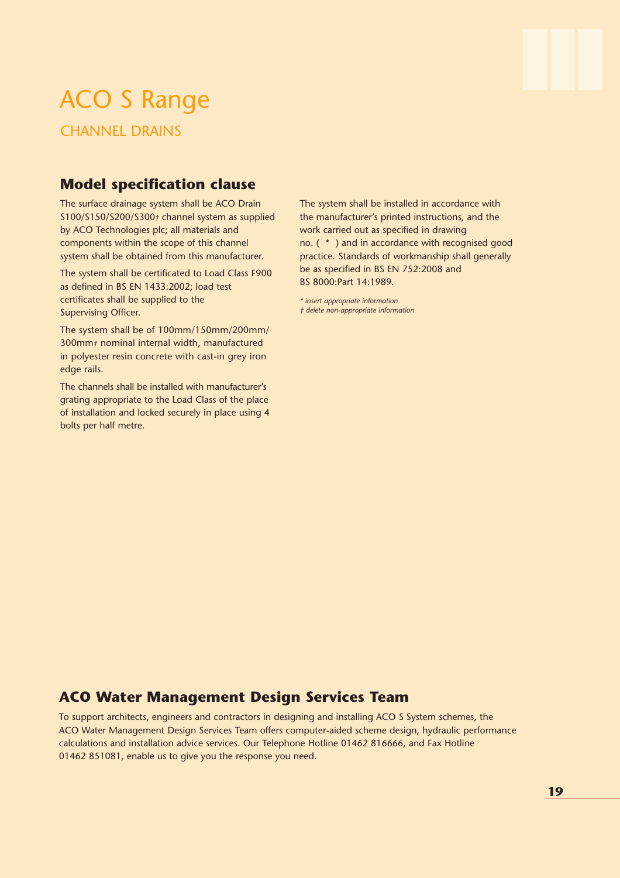## ACO S Range CHANNEL DRAINS

**Model specification clause**

The surface drainage system shall be ACO Drain S100/S150/S200/S300*†* channel system as supplied by ACO Technologies plc; all materials and components within the scope of this channel system shall be obtained from this manufacturer.

The system shall be certificated to Load Class F900 as defined in BS EN 1433:2002; load test certificates shall be supplied to the Supervising Officer.

The system shall be of 100mm/150mm/200mm/ 300mm*†* nominal internal width, manufactured in polyester resin concrete with cast-in grey iron edge rails.

The channels shall be installed with manufacturer's grating appropriate to the Load Class of the place of installation and locked securely in place using 4 bolts per half metre.

The system shall be installed in accordance with the manufacturer's printed instructions, and the work carried out as specified in drawing no. ( \* ) and in accordance with recognised good practice. Standards of workmanship shall generally be as specified in BS EN 752:2008 and BS 8000:Part 14:1989.

*\* insert appropriate information † delete non-appropriate information*

### **ACO Water Management Design Services Team**

To support architects, engineers and contractors in designing and installing ACO S System schemes, the ACO Water Management Design Services Team offers computer-aided scheme design, hydraulic performance calculations and installation advice services. Our Telephone Hotline 01462 816666, and Fax Hotline 01462 851081, enable us to give you the response you need.